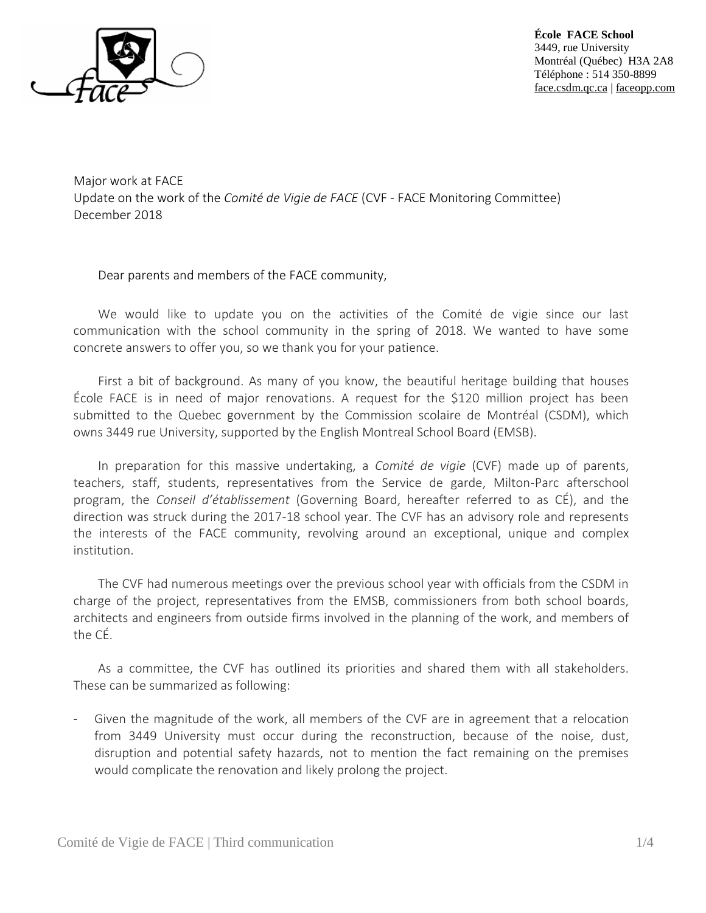

**École FACE School** 3449, rue University Montréal (Québec) H3A 2A8 Téléphone : 514 350-8899 face.csdm.qc.ca | faceopp.com

Major work at FACE Update on the work of the *Comité de Vigie de FACE* (CVF - FACE Monitoring Committee) December 2018

Dear parents and members of the FACE community,

We would like to update you on the activities of the Comité de vigie since our last communication with the school community in the spring of 2018. We wanted to have some concrete answers to offer you, so we thank you for your patience.

First a bit of background. As many of you know, the beautiful heritage building that houses École FACE is in need of major renovations. A request for the \$120 million project has been submitted to the Quebec government by the Commission scolaire de Montréal (CSDM), which owns 3449 rue University, supported by the English Montreal School Board (EMSB).

In preparation for this massive undertaking, a *Comité de vigie* (CVF) made up of parents, teachers, staff, students, representatives from the Service de garde, Milton-Parc afterschool program, the *Conseil d'établissement* (Governing Board, hereafter referred to as CÉ), and the direction was struck during the 2017-18 school year. The CVF has an advisory role and represents the interests of the FACE community, revolving around an exceptional, unique and complex institution.

The CVF had numerous meetings over the previous school year with officials from the CSDM in charge of the project, representatives from the EMSB, commissioners from both school boards, architects and engineers from outside firms involved in the planning of the work, and members of the CÉ.

As a committee, the CVF has outlined its priorities and shared them with all stakeholders. These can be summarized as following:

Given the magnitude of the work, all members of the CVF are in agreement that a relocation from 3449 University must occur during the reconstruction, because of the noise, dust, disruption and potential safety hazards, not to mention the fact remaining on the premises would complicate the renovation and likely prolong the project.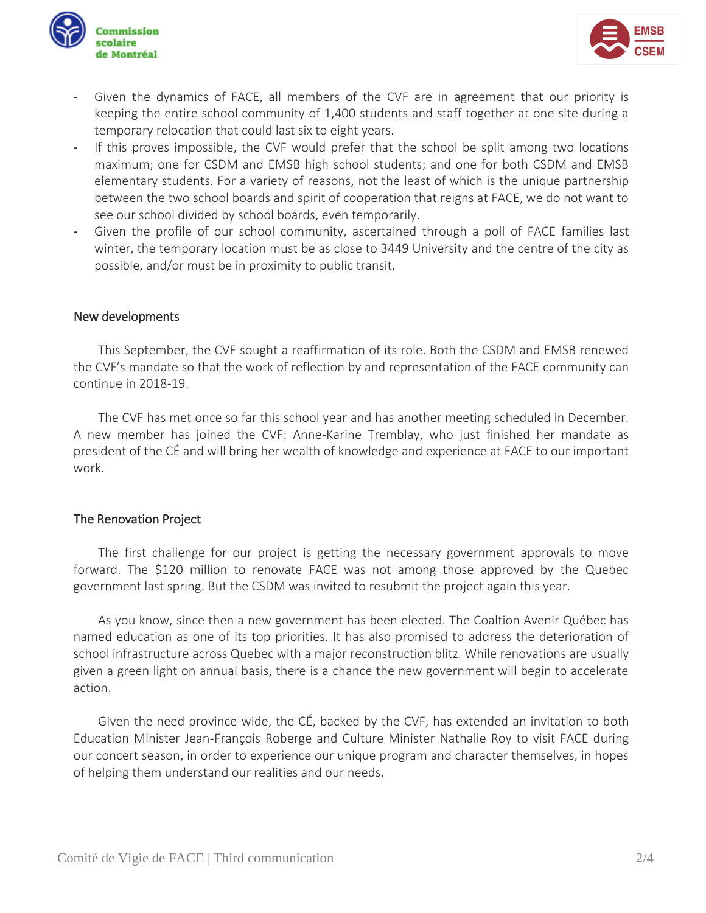



- Given the dynamics of FACE, all members of the CVF are in agreement that our priority is keeping the entire school community of 1,400 students and staff together at one site during a temporary relocation that could last six to eight years.
- If this proves impossible, the CVF would prefer that the school be split among two locations maximum; one for CSDM and EMSB high school students; and one for both CSDM and EMSB elementary students. For a variety of reasons, not the least of which is the unique partnership between the two school boards and spirit of cooperation that reigns at FACE, we do not want to see our school divided by school boards, even temporarily.
- Given the profile of our school community, ascertained through a poll of FACE families last winter, the temporary location must be as close to 3449 University and the centre of the city as possible, and/or must be in proximity to public transit.

## New developments

This September, the CVF sought a reaffirmation of its role. Both the CSDM and EMSB renewed the CVF's mandate so that the work of reflection by and representation of the FACE community can continue in 2018-19.

The CVF has met once so far this school year and has another meeting scheduled in December. A new member has joined the CVF: Anne-Karine Tremblay, who just finished her mandate as president of the CÉ and will bring her wealth of knowledge and experience at FACE to our important work.

## The Renovation Project

The first challenge for our project is getting the necessary government approvals to move forward. The \$120 million to renovate FACE was not among those approved by the Quebec government last spring. But the CSDM was invited to resubmit the project again this year.

As you know, since then a new government has been elected. The Coaltion Avenir Québec has named education as one of its top priorities. It has also promised to address the deterioration of school infrastructure across Quebec with a major reconstruction blitz. While renovations are usually given a green light on annual basis, there is a chance the new government will begin to accelerate action.

Given the need province-wide, the CÉ, backed by the CVF, has extended an invitation to both Education Minister Jean-François Roberge and Culture Minister Nathalie Roy to visit FACE during our concert season, in order to experience our unique program and character themselves, in hopes of helping them understand our realities and our needs.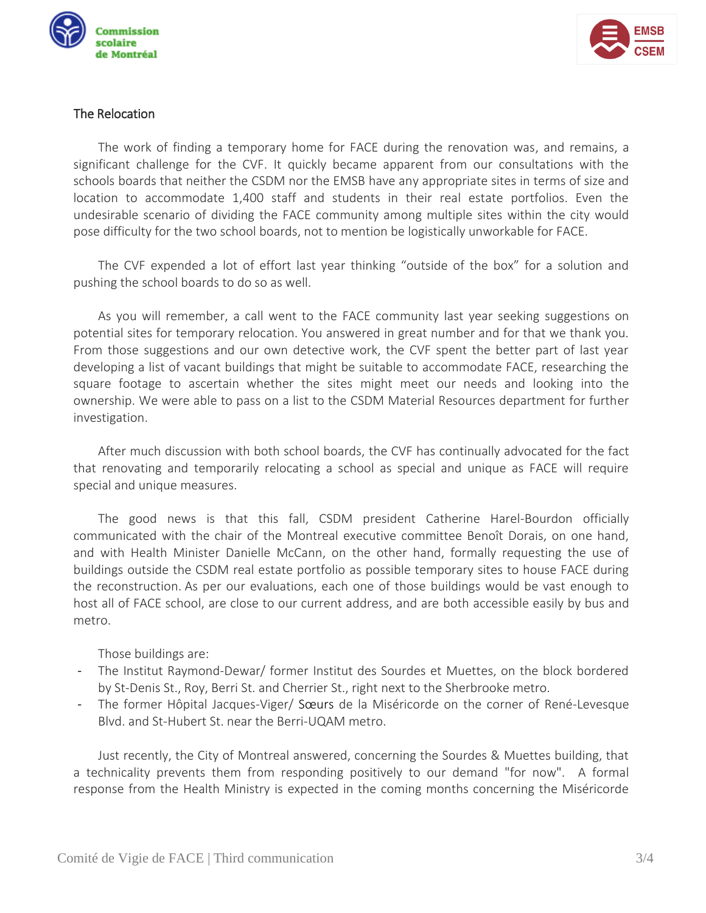



## The Relocation

The work of finding a temporary home for FACE during the renovation was, and remains, a significant challenge for the CVF. It quickly became apparent from our consultations with the schools boards that neither the CSDM nor the EMSB have any appropriate sites in terms of size and location to accommodate 1,400 staff and students in their real estate portfolios. Even the undesirable scenario of dividing the FACE community among multiple sites within the city would pose difficulty for the two school boards, not to mention be logistically unworkable for FACE.

The CVF expended a lot of effort last year thinking "outside of the box" for a solution and pushing the school boards to do so as well.

As you will remember, a call went to the FACE community last year seeking suggestions on potential sites for temporary relocation. You answered in great number and for that we thank you. From those suggestions and our own detective work, the CVF spent the better part of last year developing a list of vacant buildings that might be suitable to accommodate FACE, researching the square footage to ascertain whether the sites might meet our needs and looking into the ownership. We were able to pass on a list to the CSDM Material Resources department for further investigation.

After much discussion with both school boards, the CVF has continually advocated for the fact that renovating and temporarily relocating a school as special and unique as FACE will require special and unique measures.

The good news is that this fall, CSDM president Catherine Harel-Bourdon officially communicated with the chair of the Montreal executive committee Benoît Dorais, on one hand, and with Health Minister Danielle McCann, on the other hand, formally requesting the use of buildings outside the CSDM real estate portfolio as possible temporary sites to house FACE during the reconstruction. As per our evaluations, each one of those buildings would be vast enough to host all of FACE school, are close to our current address, and are both accessible easily by bus and metro.

Those buildings are:

- The Institut Raymond-Dewar/ former Institut des Sourdes et Muettes, on the block bordered by St-Denis St., Roy, Berri St. and Cherrier St., right next to the Sherbrooke metro.
- The former Hôpital Jacques-Viger/ Sœurs de la Miséricorde on the corner of René-Levesque Blvd. and St-Hubert St. near the Berri-UQAM metro.

Just recently, the City of Montreal answered, concerning the Sourdes & Muettes building, that a technicality prevents them from responding positively to our demand "for now". A formal response from the Health Ministry is expected in the coming months concerning the Miséricorde